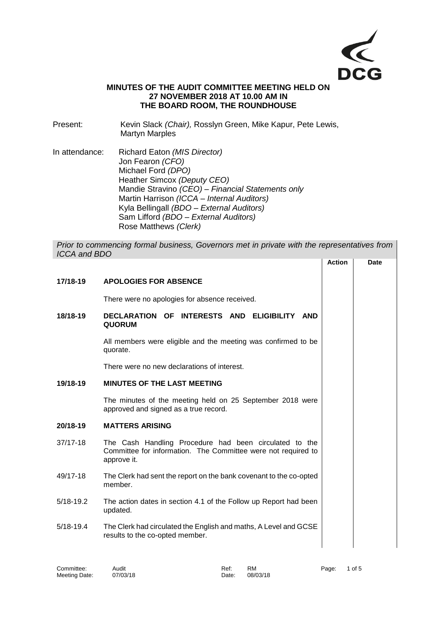

## **MINUTES OF THE AUDIT COMMITTEE MEETING HELD ON 27 NOVEMBER 2018 AT 10.00 AM IN THE BOARD ROOM, THE ROUNDHOUSE**

- Present: Kevin Slack *(Chair),* Rosslyn Green, Mike Kapur, Pete Lewis, Martyn Marples
- In attendance: Richard Eaton *(MIS Director)* Jon Fearon *(CFO)* Michael Ford *(DPO)* Heather Simcox *(Deputy CEO)* Mandie Stravino *(CEO) – Financial Statements only* Martin Harrison *(ICCA – Internal Auditors)* Kyla Bellingall *(BDO – External Auditors)* Sam Lifford *(BDO – External Auditors)* Rose Matthews *(Clerk)*

*Prior to commencing formal business, Governors met in private with the representatives from ICCA and BDO* **Action Date**

|               |                                                                                                                                        | ווטווא |  |
|---------------|----------------------------------------------------------------------------------------------------------------------------------------|--------|--|
| 17/18-19      | <b>APOLOGIES FOR ABSENCE</b>                                                                                                           |        |  |
|               | There were no apologies for absence received.                                                                                          |        |  |
| 18/18-19      | DECLARATION OF INTERESTS AND ELIGIBILITY AND<br><b>QUORUM</b>                                                                          |        |  |
|               | All members were eligible and the meeting was confirmed to be<br>quorate.                                                              |        |  |
|               | There were no new declarations of interest.                                                                                            |        |  |
| 19/18-19      | MINUTES OF THE LAST MEETING                                                                                                            |        |  |
|               | The minutes of the meeting held on 25 September 2018 were<br>approved and signed as a true record.                                     |        |  |
| 20/18-19      | <b>MATTERS ARISING</b>                                                                                                                 |        |  |
| 37/17-18      | The Cash Handling Procedure had been circulated to the<br>Committee for information. The Committee were not required to<br>approve it. |        |  |
| 49/17-18      | The Clerk had sent the report on the bank covenant to the co-opted<br>member.                                                          |        |  |
| $5/18 - 19.2$ | The action dates in section 4.1 of the Follow up Report had been<br>updated.                                                           |        |  |
| $5/18 - 19.4$ | The Clerk had circulated the English and maths, A Level and GCSE<br>results to the co-opted member.                                    |        |  |
|               |                                                                                                                                        |        |  |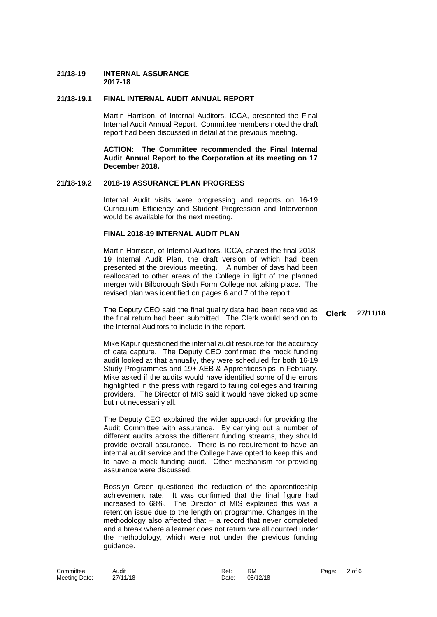| 21/18-19   | <b>INTERNAL ASSURANCE</b><br>2017-18                                                                                                                                                                                                                                                                                                                                                                                                                                                                               |              |          |
|------------|--------------------------------------------------------------------------------------------------------------------------------------------------------------------------------------------------------------------------------------------------------------------------------------------------------------------------------------------------------------------------------------------------------------------------------------------------------------------------------------------------------------------|--------------|----------|
| 21/18-19.1 | FINAL INTERNAL AUDIT ANNUAL REPORT                                                                                                                                                                                                                                                                                                                                                                                                                                                                                 |              |          |
|            | Martin Harrison, of Internal Auditors, ICCA, presented the Final<br>Internal Audit Annual Report. Committee members noted the draft<br>report had been discussed in detail at the previous meeting.                                                                                                                                                                                                                                                                                                                |              |          |
|            | ACTION: The Committee recommended the Final Internal<br>Audit Annual Report to the Corporation at its meeting on 17<br>December 2018.                                                                                                                                                                                                                                                                                                                                                                              |              |          |
| 21/18-19.2 | <b>2018-19 ASSURANCE PLAN PROGRESS</b>                                                                                                                                                                                                                                                                                                                                                                                                                                                                             |              |          |
|            | Internal Audit visits were progressing and reports on 16-19<br>Curriculum Efficiency and Student Progression and Intervention<br>would be available for the next meeting.                                                                                                                                                                                                                                                                                                                                          |              |          |
|            | <b>FINAL 2018-19 INTERNAL AUDIT PLAN</b>                                                                                                                                                                                                                                                                                                                                                                                                                                                                           |              |          |
|            | Martin Harrison, of Internal Auditors, ICCA, shared the final 2018-<br>19 Internal Audit Plan, the draft version of which had been<br>presented at the previous meeting. A number of days had been<br>reallocated to other areas of the College in light of the planned<br>merger with Bilborough Sixth Form College not taking place. The<br>revised plan was identified on pages 6 and 7 of the report.                                                                                                          |              |          |
|            | The Deputy CEO said the final quality data had been received as<br>the final return had been submitted. The Clerk would send on to<br>the Internal Auditors to include in the report.                                                                                                                                                                                                                                                                                                                              | <b>Clerk</b> | 27/11/18 |
|            | Mike Kapur questioned the internal audit resource for the accuracy<br>of data capture. The Deputy CEO confirmed the mock funding<br>audit looked at that annually, they were scheduled for both 16-19<br>Study Programmes and 19+ AEB & Apprenticeships in February.<br>Mike asked if the audits would have identified some of the errors<br>highlighted in the press with regard to failing colleges and training<br>providers. The Director of MIS said it would have picked up some<br>but not necessarily all. |              |          |
|            | The Deputy CEO explained the wider approach for providing the<br>Audit Committee with assurance. By carrying out a number of<br>different audits across the different funding streams, they should<br>provide overall assurance. There is no requirement to have an<br>internal audit service and the College have opted to keep this and<br>to have a mock funding audit. Other mechanism for providing<br>assurance were discussed.                                                                              |              |          |
|            | Rosslyn Green questioned the reduction of the apprenticeship<br>achievement rate. It was confirmed that the final figure had<br>increased to 68%. The Director of MIS explained this was a<br>retention issue due to the length on programme. Changes in the<br>methodology also affected that - a record that never completed<br>and a break where a learner does not return wre all counted under<br>the methodology, which were not under the previous funding<br>guidance.                                     |              |          |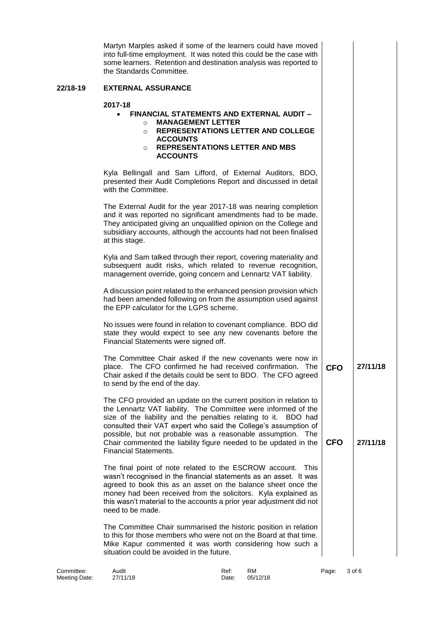|          | Martyn Marples asked if some of the learners could have moved<br>into full-time employment. It was noted this could be the case with<br>some learners. Retention and destination analysis was reported to<br>the Standards Committee.                                                                                                                                                                                                        |            |          |
|----------|----------------------------------------------------------------------------------------------------------------------------------------------------------------------------------------------------------------------------------------------------------------------------------------------------------------------------------------------------------------------------------------------------------------------------------------------|------------|----------|
| 22/18-19 | <b>EXTERNAL ASSURANCE</b>                                                                                                                                                                                                                                                                                                                                                                                                                    |            |          |
|          | 2017-18<br><b>FINANCIAL STATEMENTS AND EXTERNAL AUDIT -</b><br>$\bullet$<br><b>MANAGEMENT LETTER</b><br>$\circ$<br>REPRESENTATIONS LETTER AND COLLEGE<br>$\circ$<br><b>ACCOUNTS</b><br><b>REPRESENTATIONS LETTER AND MBS</b><br>$\circ$<br><b>ACCOUNTS</b>                                                                                                                                                                                   |            |          |
|          | Kyla Bellingall and Sam Lifford, of External Auditors, BDO,<br>presented their Audit Completions Report and discussed in detail<br>with the Committee.                                                                                                                                                                                                                                                                                       |            |          |
|          | The External Audit for the year 2017-18 was nearing completion<br>and it was reported no significant amendments had to be made.<br>They anticipated giving an unqualified opinion on the College and<br>subsidiary accounts, although the accounts had not been finalised<br>at this stage.                                                                                                                                                  |            |          |
|          | Kyla and Sam talked through their report, covering materiality and<br>subsequent audit risks, which related to revenue recognition,<br>management override, going concern and Lennartz VAT liability.                                                                                                                                                                                                                                        |            |          |
|          | A discussion point related to the enhanced pension provision which<br>had been amended following on from the assumption used against<br>the EPP calculator for the LGPS scheme.                                                                                                                                                                                                                                                              |            |          |
|          | No issues were found in relation to covenant compliance. BDO did<br>state they would expect to see any new covenants before the<br>Financial Statements were signed off.                                                                                                                                                                                                                                                                     |            |          |
|          | The Committee Chair asked if the new covenants were now in<br>place. The CFO confirmed he had received confirmation. The<br>Chair asked if the details could be sent to BDO. The CFO agreed<br>to send by the end of the day.                                                                                                                                                                                                                | <b>CFO</b> | 27/11/18 |
|          | The CFO provided an update on the current position in relation to<br>the Lennartz VAT liability. The Committee were informed of the<br>size of the liability and the penalties relating to it. BDO had<br>consulted their VAT expert who said the College's assumption of<br>possible, but not probable was a reasonable assumption. The<br>Chair commented the liability figure needed to be updated in the<br><b>Financial Statements.</b> | <b>CFO</b> | 27/11/18 |
|          | The final point of note related to the ESCROW account. This<br>wasn't recognised in the financial statements as an asset. It was<br>agreed to book this as an asset on the balance sheet once the<br>money had been received from the solicitors. Kyla explained as<br>this wasn't material to the accounts a prior year adjustment did not<br>need to be made.                                                                              |            |          |
|          | The Committee Chair summarised the historic position in relation<br>to this for those members who were not on the Board at that time.<br>Mike Kapur commented it was worth considering how such a<br>situation could be avoided in the future.                                                                                                                                                                                               |            |          |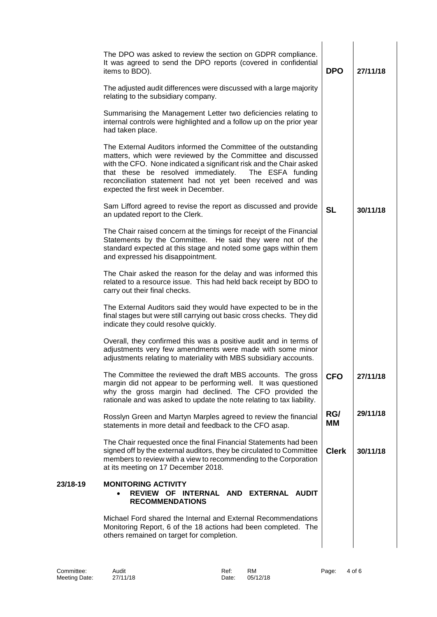|          | The DPO was asked to review the section on GDPR compliance.<br>It was agreed to send the DPO reports (covered in confidential<br>items to BDO).                                                                                                                                                                                                                        | <b>DPO</b>   | 27/11/18 |
|----------|------------------------------------------------------------------------------------------------------------------------------------------------------------------------------------------------------------------------------------------------------------------------------------------------------------------------------------------------------------------------|--------------|----------|
|          | The adjusted audit differences were discussed with a large majority<br>relating to the subsidiary company.                                                                                                                                                                                                                                                             |              |          |
|          | Summarising the Management Letter two deficiencies relating to<br>internal controls were highlighted and a follow up on the prior year<br>had taken place.                                                                                                                                                                                                             |              |          |
|          | The External Auditors informed the Committee of the outstanding<br>matters, which were reviewed by the Committee and discussed<br>with the CFO. None indicated a significant risk and the Chair asked<br>that these be resolved immediately.<br>The ESFA funding<br>reconciliation statement had not yet been received and was<br>expected the first week in December. |              |          |
|          | Sam Lifford agreed to revise the report as discussed and provide<br>an updated report to the Clerk.                                                                                                                                                                                                                                                                    | <b>SL</b>    | 30/11/18 |
|          | The Chair raised concern at the timings for receipt of the Financial<br>Statements by the Committee. He said they were not of the<br>standard expected at this stage and noted some gaps within them<br>and expressed his disappointment.                                                                                                                              |              |          |
|          | The Chair asked the reason for the delay and was informed this<br>related to a resource issue. This had held back receipt by BDO to<br>carry out their final checks.                                                                                                                                                                                                   |              |          |
|          | The External Auditors said they would have expected to be in the<br>final stages but were still carrying out basic cross checks. They did<br>indicate they could resolve quickly.                                                                                                                                                                                      |              |          |
|          | Overall, they confirmed this was a positive audit and in terms of<br>adjustments very few amendments were made with some minor<br>adjustments relating to materiality with MBS subsidiary accounts.                                                                                                                                                                    |              |          |
|          | The Committee the reviewed the draft MBS accounts. The gross<br>margin did not appear to be performing well. It was questioned<br>why the gross margin had declined. The CFO provided the<br>rationale and was asked to update the note relating to tax liability.                                                                                                     | <b>CFO</b>   | 27/11/18 |
|          | Rosslyn Green and Martyn Marples agreed to review the financial<br>statements in more detail and feedback to the CFO asap.                                                                                                                                                                                                                                             | RG/<br>MМ    | 29/11/18 |
|          | The Chair requested once the final Financial Statements had been<br>signed off by the external auditors, they be circulated to Committee<br>members to review with a view to recommending to the Corporation<br>at its meeting on 17 December 2018.                                                                                                                    | <b>Clerk</b> | 30/11/18 |
| 23/18-19 | <b>MONITORING ACTIVITY</b><br>REVIEW OF INTERNAL AND EXTERNAL<br><b>AUDIT</b><br><b>RECOMMENDATIONS</b>                                                                                                                                                                                                                                                                |              |          |
|          | Michael Ford shared the Internal and External Recommendations<br>Monitoring Report, 6 of the 18 actions had been completed. The<br>others remained on target for completion.                                                                                                                                                                                           |              |          |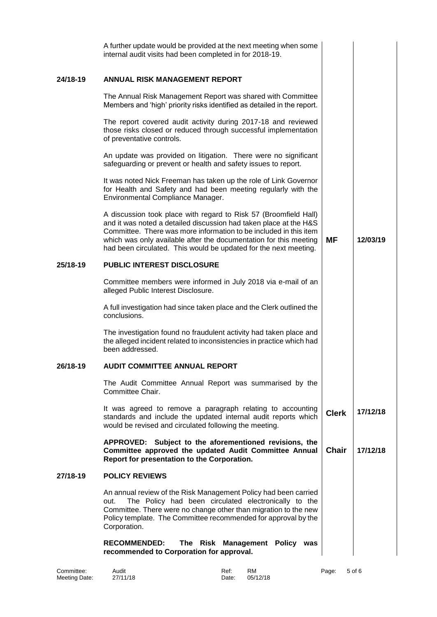|          | A further update would be provided at the next meeting when some<br>internal audit visits had been completed in for 2018-19.                                                                                                                                                                                                                        |              |          |
|----------|-----------------------------------------------------------------------------------------------------------------------------------------------------------------------------------------------------------------------------------------------------------------------------------------------------------------------------------------------------|--------------|----------|
| 24/18-19 | ANNUAL RISK MANAGEMENT REPORT                                                                                                                                                                                                                                                                                                                       |              |          |
|          | The Annual Risk Management Report was shared with Committee<br>Members and 'high' priority risks identified as detailed in the report.                                                                                                                                                                                                              |              |          |
|          | The report covered audit activity during 2017-18 and reviewed<br>those risks closed or reduced through successful implementation<br>of preventative controls.                                                                                                                                                                                       |              |          |
|          | An update was provided on litigation. There were no significant<br>safeguarding or prevent or health and safety issues to report.                                                                                                                                                                                                                   |              |          |
|          | It was noted Nick Freeman has taken up the role of Link Governor<br>for Health and Safety and had been meeting regularly with the<br>Environmental Compliance Manager.                                                                                                                                                                              |              |          |
|          | A discussion took place with regard to Risk 57 (Broomfield Hall)<br>and it was noted a detailed discussion had taken place at the H&S<br>Committee. There was more information to be included in this item<br>which was only available after the documentation for this meeting<br>had been circulated. This would be updated for the next meeting. | <b>MF</b>    | 12/03/19 |
| 25/18-19 | PUBLIC INTEREST DISCLOSURE                                                                                                                                                                                                                                                                                                                          |              |          |
|          | Committee members were informed in July 2018 via e-mail of an<br>alleged Public Interest Disclosure.                                                                                                                                                                                                                                                |              |          |
|          | A full investigation had since taken place and the Clerk outlined the<br>conclusions.                                                                                                                                                                                                                                                               |              |          |
|          | The investigation found no fraudulent activity had taken place and<br>the alleged incident related to inconsistencies in practice which had<br>been addressed.                                                                                                                                                                                      |              |          |
| 26/18-19 | AUDIT COMMITTEE ANNUAL REPORT                                                                                                                                                                                                                                                                                                                       |              |          |
|          | The Audit Committee Annual Report was summarised by the<br>Committee Chair.                                                                                                                                                                                                                                                                         |              |          |
|          | It was agreed to remove a paragraph relating to accounting<br>standards and include the updated internal audit reports which<br>would be revised and circulated following the meeting.                                                                                                                                                              | <b>Clerk</b> | 17/12/18 |
|          | APPROVED: Subject to the aforementioned revisions, the<br>Committee approved the updated Audit Committee Annual<br>Report for presentation to the Corporation.                                                                                                                                                                                      | <b>Chair</b> | 17/12/18 |
| 27/18-19 | <b>POLICY REVIEWS</b>                                                                                                                                                                                                                                                                                                                               |              |          |
|          | An annual review of the Risk Management Policy had been carried<br>The Policy had been circulated electronically to the<br>out.<br>Committee. There were no change other than migration to the new<br>Policy template. The Committee recommended for approval by the<br>Corporation.                                                                |              |          |
|          | <b>RECOMMENDED:</b><br>The Risk Management Policy was<br>recommended to Corporation for approval.                                                                                                                                                                                                                                                   |              |          |